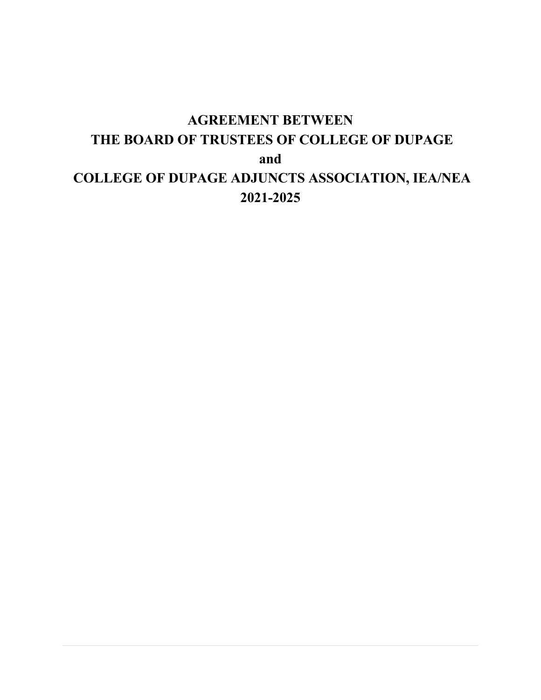# **AGREEMENT BETWEEN THE BOARD OF TRUSTEES OF COLLEGE OF DUPAGE and COLLEGE OF DUPAGE ADJUNCTS ASSOCIATION, IEA/NEA 2021-2025**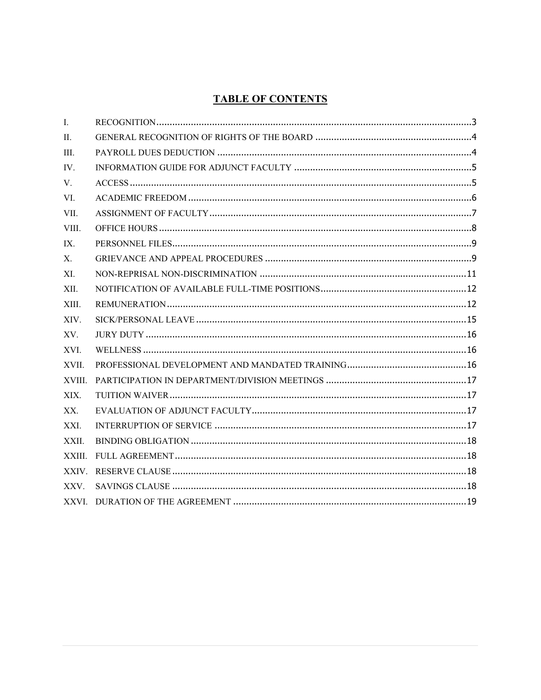# **TABLE OF CONTENTS**

| $\mathbf{I}$ . |  |
|----------------|--|
| $\Pi$ .        |  |
| III.           |  |
| IV.            |  |
| V.             |  |
| VI.            |  |
| VII.           |  |
| VIII.          |  |
| IX.            |  |
| X.             |  |
| XI.            |  |
| XII.           |  |
| XIII.          |  |
| XIV.           |  |
| XV.            |  |
| XVI.           |  |
| XVII.          |  |
| XVIII.         |  |
| XIX.           |  |
| XX.            |  |
| XXI.           |  |
| XXII.          |  |
| XXIII.         |  |
| XXIV.          |  |
| XXV.           |  |
|                |  |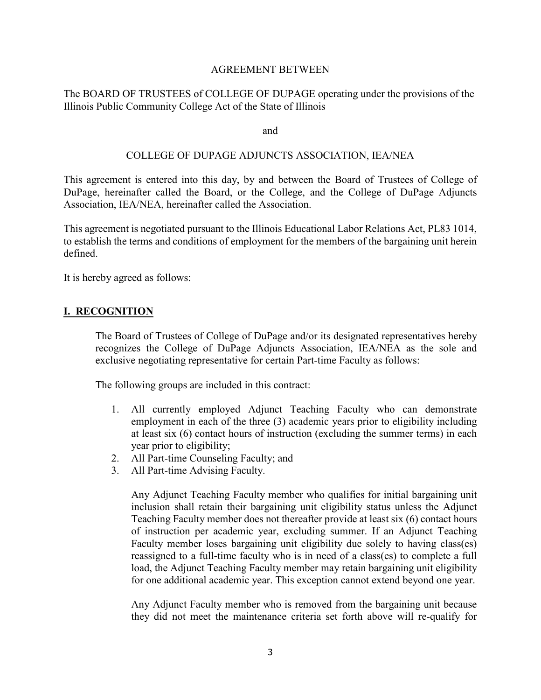#### AGREEMENT BETWEEN

#### The BOARD OF TRUSTEES of COLLEGE OF DUPAGE operating under the provisions of the Illinois Public Community College Act of the State of Illinois

#### and

#### COLLEGE OF DUPAGE ADJUNCTS ASSOCIATION, IEA/NEA

This agreement is entered into this day, by and between the Board of Trustees of College of DuPage, hereinafter called the Board, or the College, and the College of DuPage Adjuncts Association, IEA/NEA, hereinafter called the Association.

This agreement is negotiated pursuant to the Illinois Educational Labor Relations Act, PL83 1014, to establish the terms and conditions of employment for the members of the bargaining unit herein defined.

<span id="page-2-0"></span>It is hereby agreed as follows:

#### **I. RECOGNITION**

The Board of Trustees of College of DuPage and/or its designated representatives hereby recognizes the College of DuPage Adjuncts Association, IEA/NEA as the sole and exclusive negotiating representative for certain Part-time Faculty as follows:

The following groups are included in this contract:

- 1. All currently employed Adjunct Teaching Faculty who can demonstrate employment in each of the three (3) academic years prior to eligibility including at least six (6) contact hours of instruction (excluding the summer terms) in each year prior to eligibility;
- 2. All Part-time Counseling Faculty; and
- 3. All Part-time Advising Faculty.

Any Adjunct Teaching Faculty member who qualifies for initial bargaining unit inclusion shall retain their bargaining unit eligibility status unless the Adjunct Teaching Faculty member does not thereafter provide at least six (6) contact hours of instruction per academic year, excluding summer. If an Adjunct Teaching Faculty member loses bargaining unit eligibility due solely to having class(es) reassigned to a full-time faculty who is in need of a class(es) to complete a full load, the Adjunct Teaching Faculty member may retain bargaining unit eligibility for one additional academic year. This exception cannot extend beyond one year.

Any Adjunct Faculty member who is removed from the bargaining unit because they did not meet the maintenance criteria set forth above will re-qualify for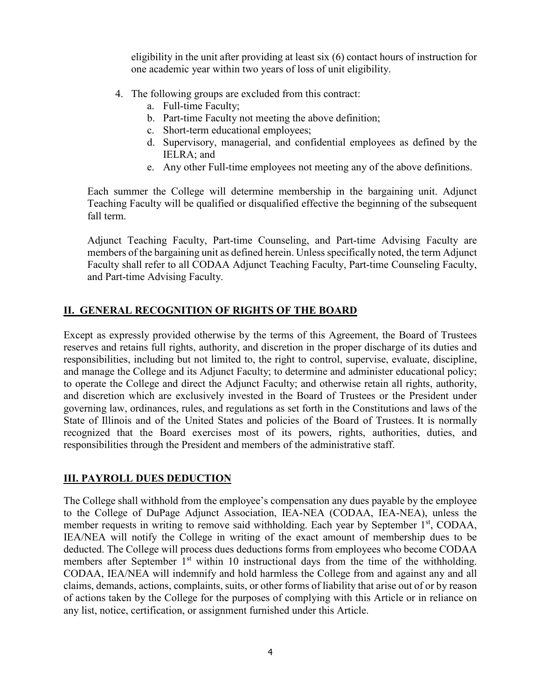eligibility in the unit after providing at least six (6) contact hours of instruction for one academic year within two years of loss of unit eligibility.

- 4. The following groups are excluded from this contract:
	- a. Full-time Faculty;
	- b. Part-time Faculty not meeting the above definition;
	- c. Short-term educational employees;
	- d. Supervisory, managerial, and confidential employees as defined by the IELRA; and
	- e. Any other Full-time employees not meeting any of the above definitions.

Each summer the College will determine membership in the bargaining unit. Adjunct Teaching Faculty will be qualified or disqualified effective the beginning of the subsequent fall term.

Adjunct Teaching Faculty, Part-time Counseling, and Part-time Advising Faculty are members of the bargaining unit as defined herein. Unless specifically noted, the term Adjunct Faculty shall refer to all CODAA Adjunct Teaching Faculty, Part-time Counseling Faculty, and Part-time Advising Faculty.

# <span id="page-3-0"></span>**II. GENERAL RECOGNITION OF RIGHTS OF THE BOARD**

Except as expressly provided otherwise by the terms of this Agreement, the Board of Trustees reserves and retains full rights, authority, and discretion in the proper discharge of its duties and responsibilities, including but not limited to, the right to control, supervise, evaluate, discipline, and manage the College and its Adjunct Faculty; to determine and administer educational policy; to operate the College and direct the Adjunct Faculty; and otherwise retain all rights, authority, and discretion which are exclusively invested in the Board of Trustees or the President under governing law, ordinances, rules, and regulations as set forth in the Constitutions and laws of the State of Illinois and of the United States and policies of the Board of Trustees. It is normally recognized that the Board exercises most of its powers, rights, authorities, duties, and responsibilities through the President and members of the administrative staff.

# <span id="page-3-1"></span>**III. PAYROLL DUES DEDUCTION**

The College shall withhold from the employee's compensation any dues payable by the employee to the College of DuPage Adjunct Association, IEA-NEA (CODAA, IEA-NEA), unless the member requests in writing to remove said withholding. Each year by September 1<sup>st</sup>, CODAA, IEA/NEA will notify the College in writing of the exact amount of membership dues to be deducted. The College will process dues deductions forms from employees who become CODAA members after September  $1<sup>st</sup>$  within 10 instructional days from the time of the withholding. CODAA, IEA/NEA will indemnify and hold harmless the College from and against any and all claims, demands, actions, complaints, suits, or other forms of liability that arise out of or by reason of actions taken by the College for the purposes of complying with this Article or in reliance on any list, notice, certification, or assignment furnished under this Article.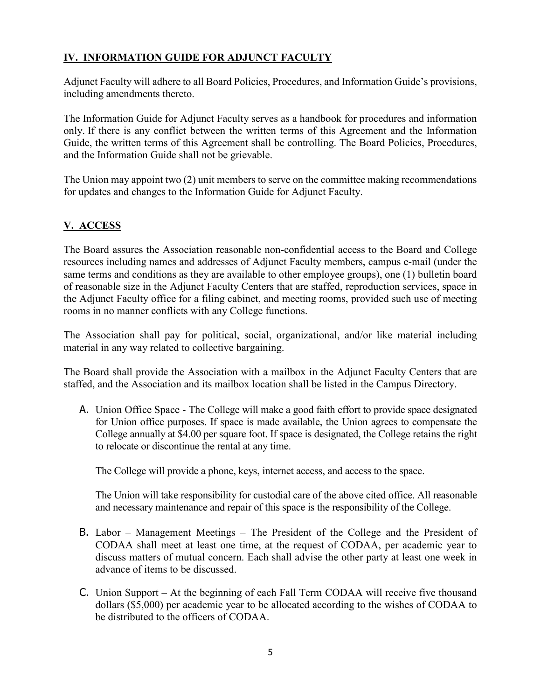# <span id="page-4-0"></span>**IV. INFORMATION GUIDE FOR ADJUNCT FACULTY**

Adjunct Faculty will adhere to all Board Policies, Procedures, and Information Guide's provisions, including amendments thereto.

The Information Guide for Adjunct Faculty serves as a handbook for procedures and information only. If there is any conflict between the written terms of this Agreement and the Information Guide, the written terms of this Agreement shall be controlling. The Board Policies, Procedures, and the Information Guide shall not be grievable.

The Union may appoint two (2) unit members to serve on the committee making recommendations for updates and changes to the Information Guide for Adjunct Faculty.

# <span id="page-4-1"></span>**V. ACCESS**

The Board assures the Association reasonable non-confidential access to the Board and College resources including names and addresses of Adjunct Faculty members, campus e-mail (under the same terms and conditions as they are available to other employee groups), one (1) bulletin board of reasonable size in the Adjunct Faculty Centers that are staffed, reproduction services, space in the Adjunct Faculty office for a filing cabinet, and meeting rooms, provided such use of meeting rooms in no manner conflicts with any College functions.

The Association shall pay for political, social, organizational, and/or like material including material in any way related to collective bargaining.

The Board shall provide the Association with a mailbox in the Adjunct Faculty Centers that are staffed, and the Association and its mailbox location shall be listed in the Campus Directory.

A. Union Office Space - The College will make a good faith effort to provide space designated for Union office purposes. If space is made available, the Union agrees to compensate the College annually at \$4.00 per square foot. If space is designated, the College retains the right to relocate or discontinue the rental at any time.

The College will provide a phone, keys, internet access, and access to the space.

The Union will take responsibility for custodial care of the above cited office. All reasonable and necessary maintenance and repair of this space is the responsibility of the College.

- B. Labor Management Meetings The President of the College and the President of CODAA shall meet at least one time, at the request of CODAA, per academic year to discuss matters of mutual concern. Each shall advise the other party at least one week in advance of items to be discussed.
- C. Union Support At the beginning of each Fall Term CODAA will receive five thousand dollars (\$5,000) per academic year to be allocated according to the wishes of CODAA to be distributed to the officers of CODAA.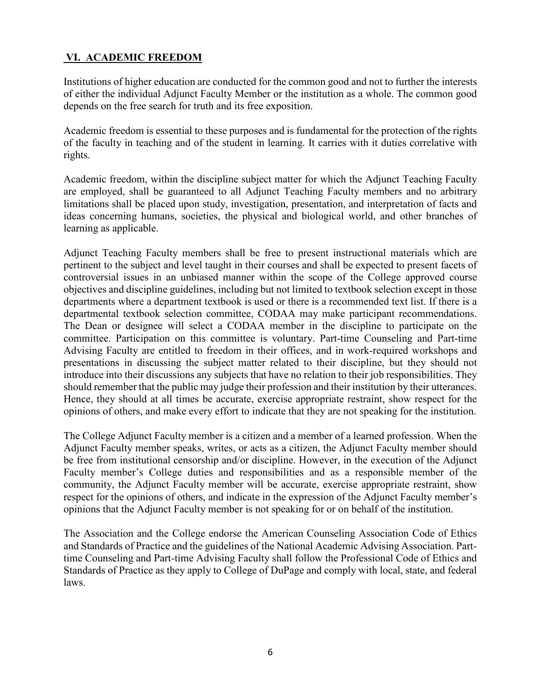# <span id="page-5-0"></span>**VI. ACADEMIC FREEDOM**

Institutions of higher education are conducted for the common good and not to further the interests of either the individual Adjunct Faculty Member or the institution as a whole. The common good depends on the free search for truth and its free exposition.

Academic freedom is essential to these purposes and is fundamental for the protection of the rights of the faculty in teaching and of the student in learning. It carries with it duties correlative with rights.

Academic freedom, within the discipline subject matter for which the Adjunct Teaching Faculty are employed, shall be guaranteed to all Adjunct Teaching Faculty members and no arbitrary limitations shall be placed upon study, investigation, presentation, and interpretation of facts and ideas concerning humans, societies, the physical and biological world, and other branches of learning as applicable.

Adjunct Teaching Faculty members shall be free to present instructional materials which are pertinent to the subject and level taught in their courses and shall be expected to present facets of controversial issues in an unbiased manner within the scope of the College approved course objectives and discipline guidelines, including but not limited to textbook selection except in those departments where a department textbook is used or there is a recommended text list. If there is a departmental textbook selection committee, CODAA may make participant recommendations. The Dean or designee will select a CODAA member in the discipline to participate on the committee. Participation on this committee is voluntary. Part-time Counseling and Part-time Advising Faculty are entitled to freedom in their offices, and in work-required workshops and presentations in discussing the subject matter related to their discipline, but they should not introduce into their discussions any subjects that have no relation to their job responsibilities. They should remember that the public may judge their profession and their institution by their utterances. Hence, they should at all times be accurate, exercise appropriate restraint, show respect for the opinions of others, and make every effort to indicate that they are not speaking for the institution.

The College Adjunct Faculty member is a citizen and a member of a learned profession. When the Adjunct Faculty member speaks, writes, or acts as a citizen, the Adjunct Faculty member should be free from institutional censorship and/or discipline. However, in the execution of the Adjunct Faculty member's College duties and responsibilities and as a responsible member of the community, the Adjunct Faculty member will be accurate, exercise appropriate restraint, show respect for the opinions of others, and indicate in the expression of the Adjunct Faculty member's opinions that the Adjunct Faculty member is not speaking for or on behalf of the institution.

The Association and the College endorse the American Counseling Association Code of Ethics and Standards of Practice and the guidelines of the National Academic Advising Association. Parttime Counseling and Part-time Advising Faculty shall follow the Professional Code of Ethics and Standards of Practice as they apply to College of DuPage and comply with local, state, and federal laws.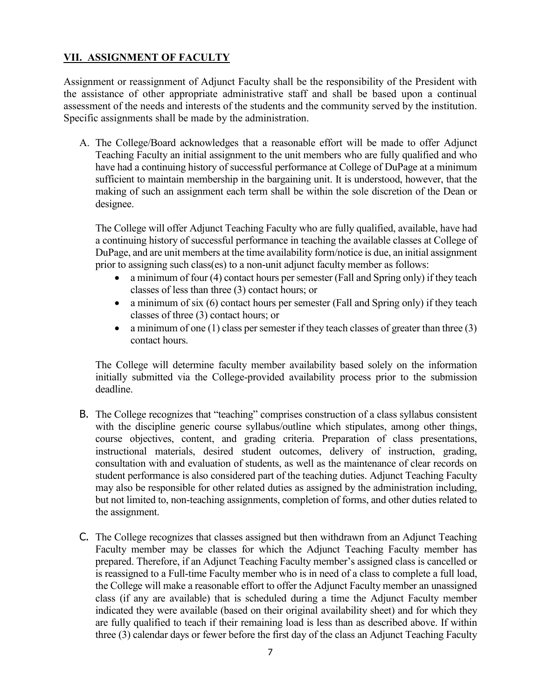# <span id="page-6-0"></span>**VII. ASSIGNMENT OF FACULTY**

Assignment or reassignment of Adjunct Faculty shall be the responsibility of the President with the assistance of other appropriate administrative staff and shall be based upon a continual assessment of the needs and interests of the students and the community served by the institution. Specific assignments shall be made by the administration.

A. The College/Board acknowledges that a reasonable effort will be made to offer Adjunct Teaching Faculty an initial assignment to the unit members who are fully qualified and who have had a continuing history of successful performance at College of DuPage at a minimum sufficient to maintain membership in the bargaining unit. It is understood, however, that the making of such an assignment each term shall be within the sole discretion of the Dean or designee.

The College will offer Adjunct Teaching Faculty who are fully qualified, available, have had a continuing history of successful performance in teaching the available classes at College of DuPage, and are unit members at the time availability form/notice is due, an initial assignment prior to assigning such class(es) to a non-unit adjunct faculty member as follows:

- a minimum of four (4) contact hours per semester (Fall and Spring only) if they teach classes of less than three (3) contact hours; or
- a minimum of six  $(6)$  contact hours per semester (Fall and Spring only) if they teach classes of three (3) contact hours; or
- a minimum of one  $(1)$  class per semester if they teach classes of greater than three  $(3)$ contact hours.

The College will determine faculty member availability based solely on the information initially submitted via the College-provided availability process prior to the submission deadline.

- B. The College recognizes that "teaching" comprises construction of a class syllabus consistent with the discipline generic course syllabus/outline which stipulates, among other things, course objectives, content, and grading criteria. Preparation of class presentations, instructional materials, desired student outcomes, delivery of instruction, grading, consultation with and evaluation of students, as well as the maintenance of clear records on student performance is also considered part of the teaching duties. Adjunct Teaching Faculty may also be responsible for other related duties as assigned by the administration including, but not limited to, non-teaching assignments, completion of forms, and other duties related to the assignment.
- C. The College recognizes that classes assigned but then withdrawn from an Adjunct Teaching Faculty member may be classes for which the Adjunct Teaching Faculty member has prepared. Therefore, if an Adjunct Teaching Faculty member's assigned class is cancelled or is reassigned to a Full-time Faculty member who is in need of a class to complete a full load, the College will make a reasonable effort to offer the Adjunct Faculty member an unassigned class (if any are available) that is scheduled during a time the Adjunct Faculty member indicated they were available (based on their original availability sheet) and for which they are fully qualified to teach if their remaining load is less than as described above. If within three (3) calendar days or fewer before the first day of the class an Adjunct Teaching Faculty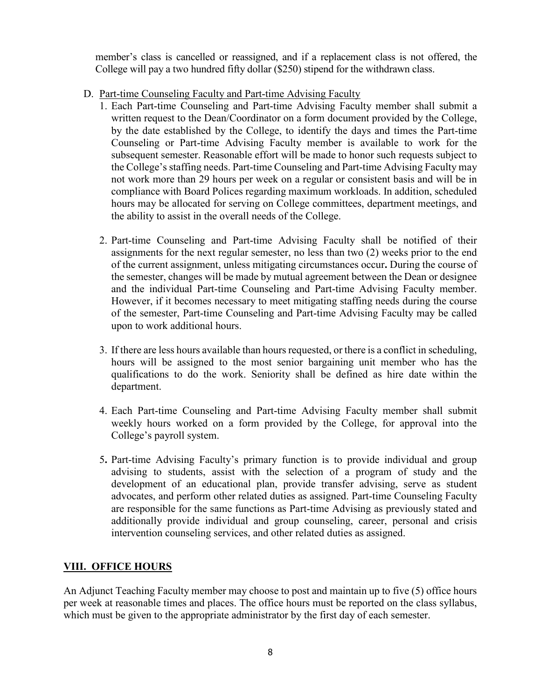member's class is cancelled or reassigned, and if a replacement class is not offered, the College will pay a two hundred fifty dollar (\$250) stipend for the withdrawn class.

- D. Part-time Counseling Faculty and Part-time Advising Faculty
	- 1. Each Part-time Counseling and Part-time Advising Faculty member shall submit a written request to the Dean/Coordinator on a form document provided by the College, by the date established by the College, to identify the days and times the Part-time Counseling or Part-time Advising Faculty member is available to work for the subsequent semester. Reasonable effort will be made to honor such requests subject to the College's staffing needs. Part-time Counseling and Part-time Advising Faculty may not work more than 29 hours per week on a regular or consistent basis and will be in compliance with Board Polices regarding maximum workloads. In addition, scheduled hours may be allocated for serving on College committees, department meetings, and the ability to assist in the overall needs of the College.
	- 2. Part-time Counseling and Part-time Advising Faculty shall be notified of their assignments for the next regular semester, no less than two (2) weeks prior to the end of the current assignment, unless mitigating circumstances occur**.** During the course of the semester, changes will be made by mutual agreement between the Dean or designee and the individual Part-time Counseling and Part-time Advising Faculty member. However, if it becomes necessary to meet mitigating staffing needs during the course of the semester, Part-time Counseling and Part-time Advising Faculty may be called upon to work additional hours.
	- 3. If there are less hours available than hours requested, or there is a conflict in scheduling, hours will be assigned to the most senior bargaining unit member who has the qualifications to do the work. Seniority shall be defined as hire date within the department.
	- 4. Each Part-time Counseling and Part-time Advising Faculty member shall submit weekly hours worked on a form provided by the College, for approval into the College's payroll system.
	- 5**.** Part-time Advising Faculty's primary function is to provide individual and group advising to students, assist with the selection of a program of study and the development of an educational plan, provide transfer advising, serve as student advocates, and perform other related duties as assigned. Part-time Counseling Faculty are responsible for the same functions as Part-time Advising as previously stated and additionally provide individual and group counseling, career, personal and crisis intervention counseling services, and other related duties as assigned.

# <span id="page-7-0"></span>**VIII. OFFICE HOURS**

An Adjunct Teaching Faculty member may choose to post and maintain up to five (5) office hours per week at reasonable times and places. The office hours must be reported on the class syllabus, which must be given to the appropriate administrator by the first day of each semester.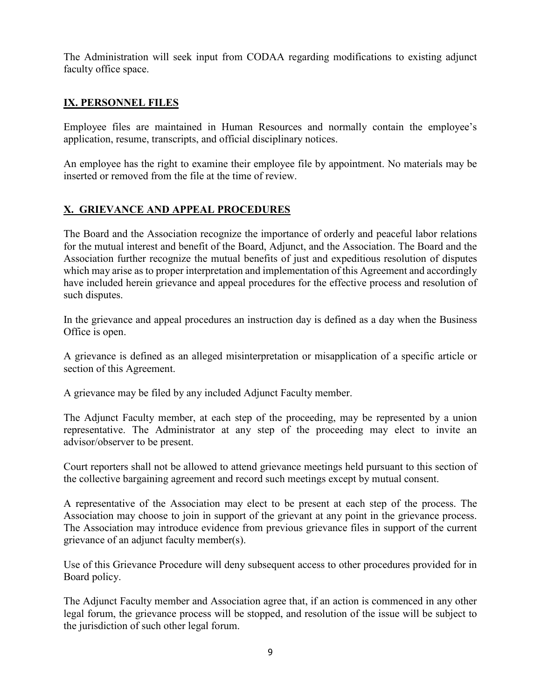The Administration will seek input from CODAA regarding modifications to existing adjunct faculty office space.

# <span id="page-8-0"></span>**IX. PERSONNEL FILES**

Employee files are maintained in Human Resources and normally contain the employee's application, resume, transcripts, and official disciplinary notices.

An employee has the right to examine their employee file by appointment. No materials may be inserted or removed from the file at the time of review.

# <span id="page-8-1"></span>**X. GRIEVANCE AND APPEAL PROCEDURES**

The Board and the Association recognize the importance of orderly and peaceful labor relations for the mutual interest and benefit of the Board, Adjunct, and the Association. The Board and the Association further recognize the mutual benefits of just and expeditious resolution of disputes which may arise as to proper interpretation and implementation of this Agreement and accordingly have included herein grievance and appeal procedures for the effective process and resolution of such disputes.

In the grievance and appeal procedures an instruction day is defined as a day when the Business Office is open.

A grievance is defined as an alleged misinterpretation or misapplication of a specific article or section of this Agreement.

A grievance may be filed by any included Adjunct Faculty member.

The Adjunct Faculty member, at each step of the proceeding, may be represented by a union representative. The Administrator at any step of the proceeding may elect to invite an advisor/observer to be present.

Court reporters shall not be allowed to attend grievance meetings held pursuant to this section of the collective bargaining agreement and record such meetings except by mutual consent.

A representative of the Association may elect to be present at each step of the process. The Association may choose to join in support of the grievant at any point in the grievance process. The Association may introduce evidence from previous grievance files in support of the current grievance of an adjunct faculty member(s).

Use of this Grievance Procedure will deny subsequent access to other procedures provided for in Board policy.

The Adjunct Faculty member and Association agree that, if an action is commenced in any other legal forum, the grievance process will be stopped, and resolution of the issue will be subject to the jurisdiction of such other legal forum.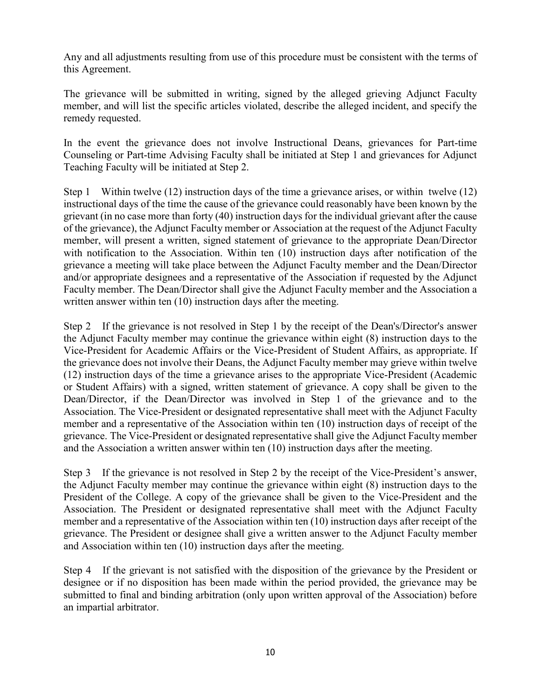Any and all adjustments resulting from use of this procedure must be consistent with the terms of this Agreement.

The grievance will be submitted in writing, signed by the alleged grieving Adjunct Faculty member, and will list the specific articles violated, describe the alleged incident, and specify the remedy requested.

In the event the grievance does not involve Instructional Deans, grievances for Part-time Counseling or Part-time Advising Faculty shall be initiated at Step 1 and grievances for Adjunct Teaching Faculty will be initiated at Step 2.

Step 1 Within twelve (12) instruction days of the time a grievance arises, or within twelve (12) instructional days of the time the cause of the grievance could reasonably have been known by the grievant (in no case more than forty (40) instruction days for the individual grievant after the cause of the grievance), the Adjunct Faculty member or Association at the request of the Adjunct Faculty member, will present a written, signed statement of grievance to the appropriate Dean/Director with notification to the Association. Within ten (10) instruction days after notification of the grievance a meeting will take place between the Adjunct Faculty member and the Dean/Director and/or appropriate designees and a representative of the Association if requested by the Adjunct Faculty member. The Dean/Director shall give the Adjunct Faculty member and the Association a written answer within ten (10) instruction days after the meeting.

Step 2 If the grievance is not resolved in Step 1 by the receipt of the Dean's/Director's answer the Adjunct Faculty member may continue the grievance within eight (8) instruction days to the Vice-President for Academic Affairs or the Vice-President of Student Affairs, as appropriate. If the grievance does not involve their Deans, the Adjunct Faculty member may grieve within twelve (12) instruction days of the time a grievance arises to the appropriate Vice-President (Academic or Student Affairs) with a signed, written statement of grievance. A copy shall be given to the Dean/Director, if the Dean/Director was involved in Step 1 of the grievance and to the Association. The Vice-President or designated representative shall meet with the Adjunct Faculty member and a representative of the Association within ten (10) instruction days of receipt of the grievance. The Vice-President or designated representative shall give the Adjunct Faculty member and the Association a written answer within ten (10) instruction days after the meeting.

Step 3 If the grievance is not resolved in Step 2 by the receipt of the Vice-President's answer, the Adjunct Faculty member may continue the grievance within eight (8) instruction days to the President of the College. A copy of the grievance shall be given to the Vice-President and the Association. The President or designated representative shall meet with the Adjunct Faculty member and a representative of the Association within ten (10) instruction days after receipt of the grievance. The President or designee shall give a written answer to the Adjunct Faculty member and Association within ten (10) instruction days after the meeting.

Step 4 If the grievant is not satisfied with the disposition of the grievance by the President or designee or if no disposition has been made within the period provided, the grievance may be submitted to final and binding arbitration (only upon written approval of the Association) before an impartial arbitrator.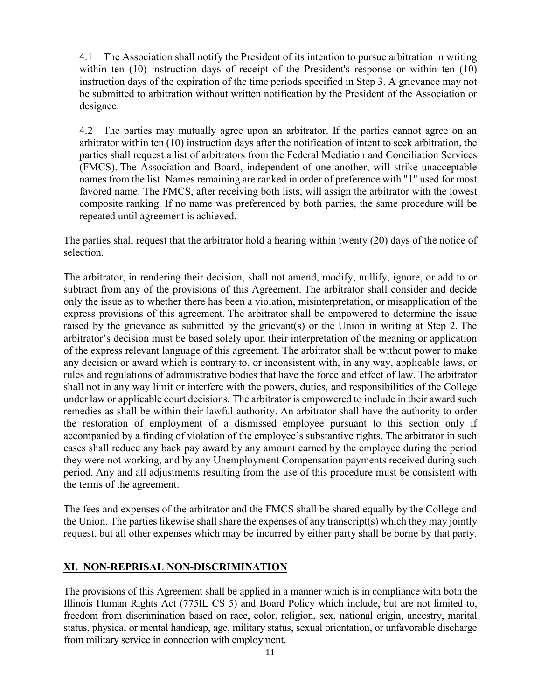4.1 The Association shall notify the President of its intention to pursue arbitration in writing within ten (10) instruction days of receipt of the President's response or within ten (10) instruction days of the expiration of the time periods specified in Step 3. A grievance may not be submitted to arbitration without written notification by the President of the Association or designee.

4.2 The parties may mutually agree upon an arbitrator. If the parties cannot agree on an arbitrator within ten (10) instruction days after the notification of intent to seek arbitration, the parties shall request a list of arbitrators from the Federal Mediation and Conciliation Services (FMCS). The Association and Board, independent of one another, will strike unacceptable names from the list. Names remaining are ranked in order of preference with "1" used for most favored name. The FMCS, after receiving both lists, will assign the arbitrator with the lowest composite ranking. If no name was preferenced by both parties, the same procedure will be repeated until agreement is achieved.

The parties shall request that the arbitrator hold a hearing within twenty (20) days of the notice of selection.

The arbitrator, in rendering their decision, shall not amend, modify, nullify, ignore, or add to or subtract from any of the provisions of this Agreement. The arbitrator shall consider and decide only the issue as to whether there has been a violation, misinterpretation, or misapplication of the express provisions of this agreement. The arbitrator shall be empowered to determine the issue raised by the grievance as submitted by the grievant(s) or the Union in writing at Step 2. The arbitrator's decision must be based solely upon their interpretation of the meaning or application of the express relevant language of this agreement. The arbitrator shall be without power to make any decision or award which is contrary to, or inconsistent with, in any way, applicable laws, or rules and regulations of administrative bodies that have the force and effect of law. The arbitrator shall not in any way limit or interfere with the powers, duties, and responsibilities of the College under law or applicable court decisions. The arbitrator is empowered to include in their award such remedies as shall be within their lawful authority. An arbitrator shall have the authority to order the restoration of employment of a dismissed employee pursuant to this section only if accompanied by a finding of violation of the employee's substantive rights. The arbitrator in such cases shall reduce any back pay award by any amount earned by the employee during the period they were not working, and by any Unemployment Compensation payments received during such period. Any and all adjustments resulting from the use of this procedure must be consistent with the terms of the agreement.

The fees and expenses of the arbitrator and the FMCS shall be shared equally by the College and the Union. The parties likewise shall share the expenses of any transcript(s) which they may jointly request, but all other expenses which may be incurred by either party shall be borne by that party.

# <span id="page-10-0"></span>**XI. NON-REPRISAL NON-DISCRIMINATION**

The provisions of this Agreement shall be applied in a manner which is in compliance with both the Illinois Human Rights Act (775IL CS 5) and Board Policy which include, but are not limited to, freedom from discrimination based on race, color, religion, sex, national origin, ancestry, marital status, physical or mental handicap, age, military status, sexual orientation, or unfavorable discharge from military service in connection with employment.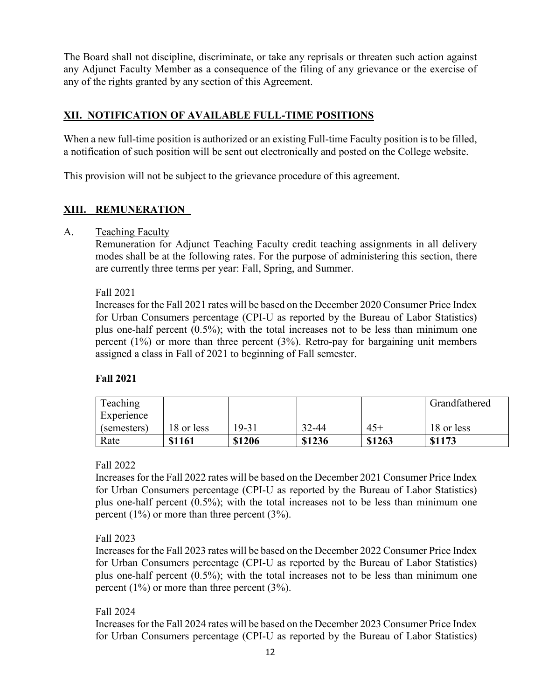The Board shall not discipline, discriminate, or take any reprisals or threaten such action against any Adjunct Faculty Member as a consequence of the filing of any grievance or the exercise of any of the rights granted by any section of this Agreement.

# <span id="page-11-0"></span>**XII. NOTIFICATION OF AVAILABLE FULL-TIME POSITIONS**

When a new full-time position is authorized or an existing Full-time Faculty position is to be filled, a notification of such position will be sent out electronically and posted on the College website.

This provision will not be subject to the grievance procedure of this agreement.

# <span id="page-11-1"></span>**XIII. REMUNERATION**

## A. Teaching Faculty

Remuneration for Adjunct Teaching Faculty credit teaching assignments in all delivery modes shall be at the following rates. For the purpose of administering this section, there are currently three terms per year: Fall, Spring, and Summer.

#### Fall 2021

Increases for the Fall 2021 rates will be based on the December 2020 Consumer Price Index for Urban Consumers percentage (CPI-U as reported by the Bureau of Labor Statistics) plus one-half percent (0.5%); with the total increases not to be less than minimum one percent (1%) or more than three percent (3%). Retro-pay for bargaining unit members assigned a class in Fall of 2021 to beginning of Fall semester.

# **Fall 2021**

| Teaching    |            |        |        |        | Grandfathered |
|-------------|------------|--------|--------|--------|---------------|
| Experience  |            |        |        |        |               |
| (semesters) | 18 or less | 19-31  | 32-44  | $45+$  | 18 or less    |
| Rate        | \$1161     | \$1206 | \$1236 | \$1263 | \$1173        |

# Fall 2022

Increases for the Fall 2022 rates will be based on the December 2021 Consumer Price Index for Urban Consumers percentage (CPI-U as reported by the Bureau of Labor Statistics) plus one-half percent (0.5%); with the total increases not to be less than minimum one percent (1%) or more than three percent (3%).

# Fall 2023

Increases for the Fall 2023 rates will be based on the December 2022 Consumer Price Index for Urban Consumers percentage (CPI-U as reported by the Bureau of Labor Statistics) plus one-half percent (0.5%); with the total increases not to be less than minimum one percent (1%) or more than three percent (3%).

# Fall 2024

Increases for the Fall 2024 rates will be based on the December 2023 Consumer Price Index for Urban Consumers percentage (CPI-U as reported by the Bureau of Labor Statistics)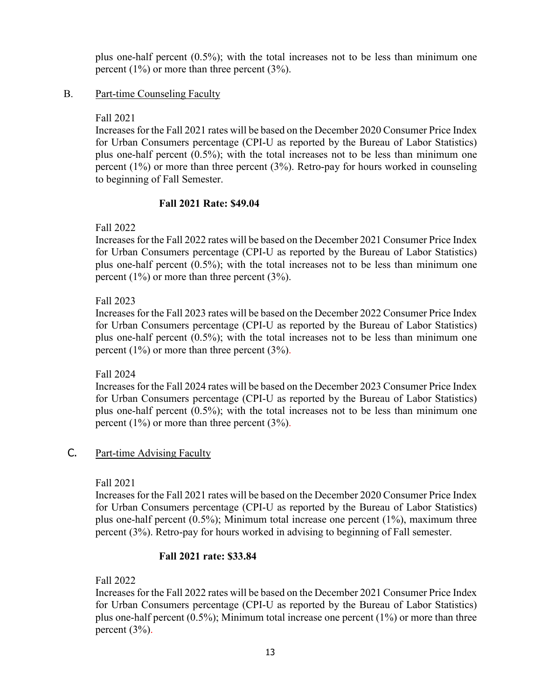plus one-half percent (0.5%); with the total increases not to be less than minimum one percent (1%) or more than three percent (3%).

## B. Part-time Counseling Faculty

#### Fall 2021

Increases for the Fall 2021 rates will be based on the December 2020 Consumer Price Index for Urban Consumers percentage (CPI-U as reported by the Bureau of Labor Statistics) plus one-half percent (0.5%); with the total increases not to be less than minimum one percent  $(1\%)$  or more than three percent  $(3\%)$ . Retro-pay for hours worked in counseling to beginning of Fall Semester.

#### **Fall 2021 Rate: \$49.04**

Fall 2022

Increases for the Fall 2022 rates will be based on the December 2021 Consumer Price Index for Urban Consumers percentage (CPI-U as reported by the Bureau of Labor Statistics) plus one-half percent (0.5%); with the total increases not to be less than minimum one percent  $(1\%)$  or more than three percent  $(3\%)$ .

#### Fall 2023

Increases for the Fall 2023 rates will be based on the December 2022 Consumer Price Index for Urban Consumers percentage (CPI-U as reported by the Bureau of Labor Statistics) plus one-half percent (0.5%); with the total increases not to be less than minimum one percent (1%) or more than three percent (3%).

#### Fall 2024

Increases for the Fall 2024 rates will be based on the December 2023 Consumer Price Index for Urban Consumers percentage (CPI-U as reported by the Bureau of Labor Statistics) plus one-half percent (0.5%); with the total increases not to be less than minimum one percent (1%) or more than three percent (3%).

# C. Part-time Advising Faculty

Fall 2021

Increases for the Fall 2021 rates will be based on the December 2020 Consumer Price Index for Urban Consumers percentage (CPI-U as reported by the Bureau of Labor Statistics) plus one-half percent (0.5%); Minimum total increase one percent (1%), maximum three percent (3%). Retro-pay for hours worked in advising to beginning of Fall semester.

#### **Fall 2021 rate: \$33.84**

Fall 2022

Increases for the Fall 2022 rates will be based on the December 2021 Consumer Price Index for Urban Consumers percentage (CPI-U as reported by the Bureau of Labor Statistics) plus one-half percent (0.5%); Minimum total increase one percent (1%) or more than three percent (3%).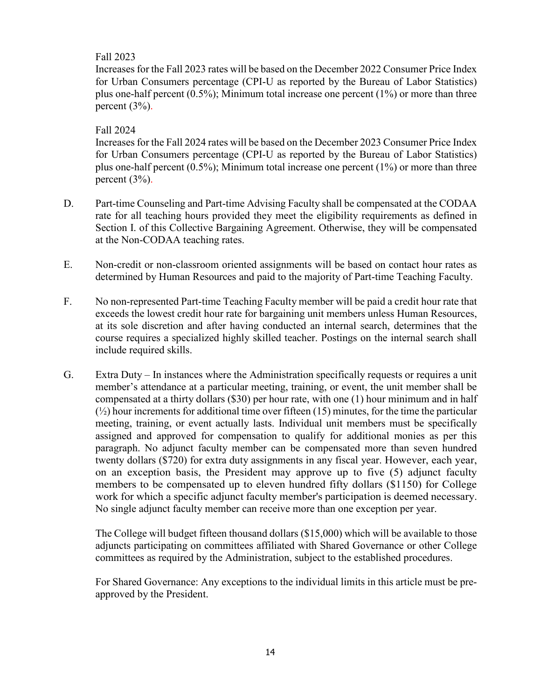# Fall 2023

Increases for the Fall 2023 rates will be based on the December 2022 Consumer Price Index for Urban Consumers percentage (CPI-U as reported by the Bureau of Labor Statistics) plus one-half percent (0.5%); Minimum total increase one percent (1%) or more than three percent (3%).

## Fall 2024

Increases for the Fall 2024 rates will be based on the December 2023 Consumer Price Index for Urban Consumers percentage (CPI-U as reported by the Bureau of Labor Statistics) plus one-half percent (0.5%); Minimum total increase one percent (1%) or more than three percent  $(3\%)$ .

- D. Part-time Counseling and Part-time Advising Faculty shall be compensated at the CODAA rate for all teaching hours provided they meet the eligibility requirements as defined in Section I. of this Collective Bargaining Agreement. Otherwise, they will be compensated at the Non-CODAA teaching rates.
- E. Non-credit or non-classroom oriented assignments will be based on contact hour rates as determined by Human Resources and paid to the majority of Part-time Teaching Faculty.
- F. No non-represented Part-time Teaching Faculty member will be paid a credit hour rate that exceeds the lowest credit hour rate for bargaining unit members unless Human Resources, at its sole discretion and after having conducted an internal search, determines that the course requires a specialized highly skilled teacher. Postings on the internal search shall include required skills.
- G. Extra Duty In instances where the Administration specifically requests or requires a unit member's attendance at a particular meeting, training, or event, the unit member shall be compensated at a thirty dollars (\$30) per hour rate, with one (1) hour minimum and in half  $(\frac{1}{2})$  hour increments for additional time over fifteen (15) minutes, for the time the particular meeting, training, or event actually lasts. Individual unit members must be specifically assigned and approved for compensation to qualify for additional monies as per this paragraph. No adjunct faculty member can be compensated more than seven hundred twenty dollars (\$720) for extra duty assignments in any fiscal year. However, each year, on an exception basis, the President may approve up to five (5) adjunct faculty members to be compensated up to eleven hundred fifty dollars (\$1150) for College work for which a specific adjunct faculty member's participation is deemed necessary. No single adjunct faculty member can receive more than one exception per year.

The College will budget fifteen thousand dollars (\$15,000) which will be available to those adjuncts participating on committees affiliated with Shared Governance or other College committees as required by the Administration, subject to the established procedures.

For Shared Governance: Any exceptions to the individual limits in this article must be preapproved by the President.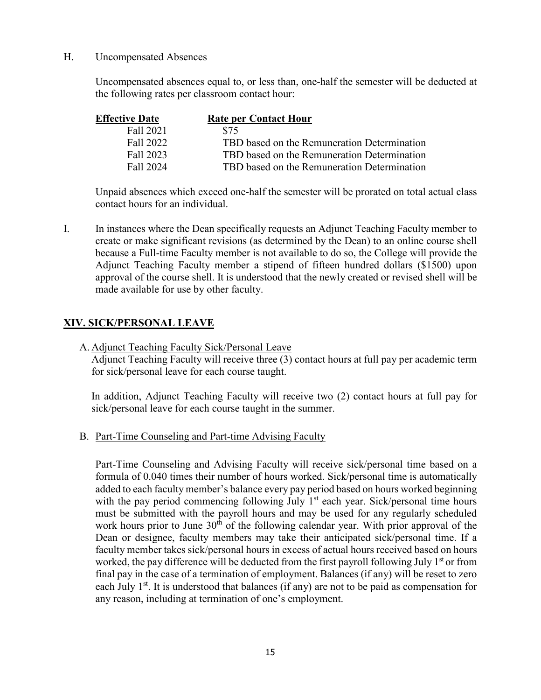#### H. Uncompensated Absences

Uncompensated absences equal to, or less than, one-half the semester will be deducted at the following rates per classroom contact hour:

| <b>Effective Date</b> | <b>Rate per Contact Hour</b>                |
|-----------------------|---------------------------------------------|
| Fall 2021             | \$75                                        |
| Fall 2022             | TBD based on the Remuneration Determination |
| Fall 2023             | TBD based on the Remuneration Determination |
| Fall 2024             | TBD based on the Remuneration Determination |

Unpaid absences which exceed one-half the semester will be prorated on total actual class contact hours for an individual.

I. In instances where the Dean specifically requests an Adjunct Teaching Faculty member to create or make significant revisions (as determined by the Dean) to an online course shell because a Full-time Faculty member is not available to do so, the College will provide the Adjunct Teaching Faculty member a stipend of fifteen hundred dollars (\$1500) upon approval of the course shell. It is understood that the newly created or revised shell will be made available for use by other faculty.

## <span id="page-14-0"></span>**XIV. SICK/PERSONAL LEAVE**

A. Adjunct Teaching Faculty Sick/Personal Leave

Adjunct Teaching Faculty will receive three (3) contact hours at full pay per academic term for sick/personal leave for each course taught.

In addition, Adjunct Teaching Faculty will receive two (2) contact hours at full pay for sick/personal leave for each course taught in the summer.

B. Part-Time Counseling and Part-time Advising Faculty

Part-Time Counseling and Advising Faculty will receive sick/personal time based on a formula of 0.040 times their number of hours worked. Sick/personal time is automatically added to each faculty member's balance every pay period based on hours worked beginning with the pay period commencing following July  $1<sup>st</sup>$  each year. Sick/personal time hours must be submitted with the payroll hours and may be used for any regularly scheduled work hours prior to June  $30<sup>th</sup>$  of the following calendar year. With prior approval of the Dean or designee, faculty members may take their anticipated sick/personal time. If a faculty member takes sick/personal hours in excess of actual hours received based on hours worked, the pay difference will be deducted from the first payroll following July  $1<sup>st</sup>$  or from final pay in the case of a termination of employment. Balances (if any) will be reset to zero each July  $1<sup>st</sup>$ . It is understood that balances (if any) are not to be paid as compensation for any reason, including at termination of one's employment.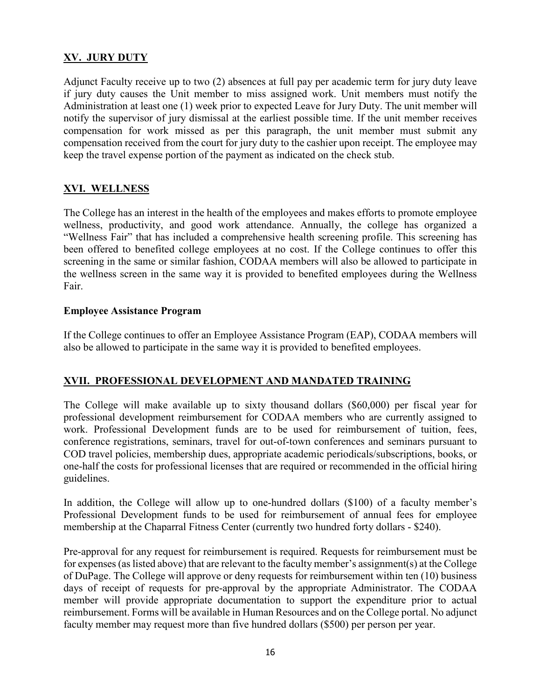## <span id="page-15-0"></span>**XV. JURY DUTY**

Adjunct Faculty receive up to two (2) absences at full pay per academic term for jury duty leave if jury duty causes the Unit member to miss assigned work. Unit members must notify the Administration at least one (1) week prior to expected Leave for Jury Duty. The unit member will notify the supervisor of jury dismissal at the earliest possible time. If the unit member receives compensation for work missed as per this paragraph, the unit member must submit any compensation received from the court for jury duty to the cashier upon receipt. The employee may keep the travel expense portion of the payment as indicated on the check stub.

# <span id="page-15-1"></span>**XVI. WELLNESS**

The College has an interest in the health of the employees and makes efforts to promote employee wellness, productivity, and good work attendance. Annually, the college has organized a "Wellness Fair" that has included a comprehensive health screening profile. This screening has been offered to benefited college employees at no cost. If the College continues to offer this screening in the same or similar fashion, CODAA members will also be allowed to participate in the wellness screen in the same way it is provided to benefited employees during the Wellness Fair.

#### **Employee Assistance Program**

If the College continues to offer an Employee Assistance Program (EAP), CODAA members will also be allowed to participate in the same way it is provided to benefited employees.

#### <span id="page-15-2"></span>**XVII. PROFESSIONAL DEVELOPMENT AND MANDATED TRAINING**

The College will make available up to sixty thousand dollars (\$60,000) per fiscal year for professional development reimbursement for CODAA members who are currently assigned to work. Professional Development funds are to be used for reimbursement of tuition, fees, conference registrations, seminars, travel for out-of-town conferences and seminars pursuant to COD travel policies, membership dues, appropriate academic periodicals/subscriptions, books, or one-half the costs for professional licenses that are required or recommended in the official hiring guidelines.

In addition, the College will allow up to one-hundred dollars (\$100) of a faculty member's Professional Development funds to be used for reimbursement of annual fees for employee membership at the Chaparral Fitness Center (currently two hundred forty dollars - \$240).

Pre-approval for any request for reimbursement is required. Requests for reimbursement must be for expenses (as listed above) that are relevant to the faculty member's assignment(s) at the College of DuPage. The College will approve or deny requests for reimbursement within ten (10) business days of receipt of requests for pre-approval by the appropriate Administrator. The CODAA member will provide appropriate documentation to support the expenditure prior to actual reimbursement. Forms will be available in Human Resources and on the College portal. No adjunct faculty member may request more than five hundred dollars (\$500) per person per year.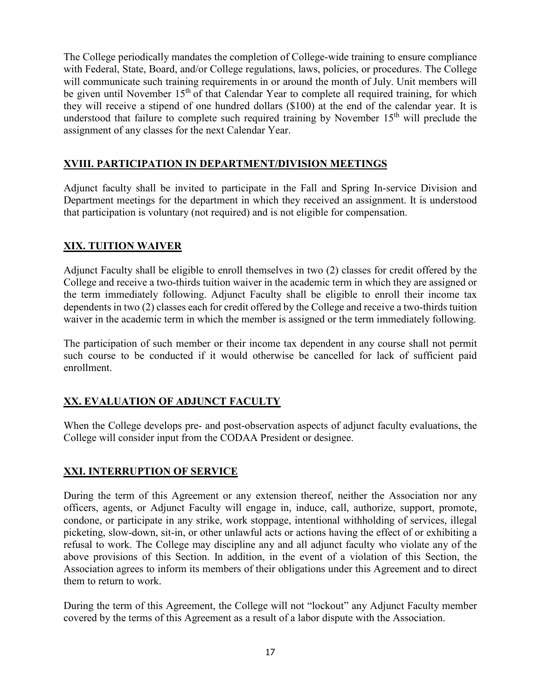The College periodically mandates the completion of College-wide training to ensure compliance with Federal, State, Board, and/or College regulations, laws, policies, or procedures. The College will communicate such training requirements in or around the month of July. Unit members will be given until November  $15<sup>th</sup>$  of that Calendar Year to complete all required training, for which they will receive a stipend of one hundred dollars (\$100) at the end of the calendar year. It is understood that failure to complete such required training by November  $15<sup>th</sup>$  will preclude the assignment of any classes for the next Calendar Year.

# <span id="page-16-0"></span>**XVIII. PARTICIPATION IN DEPARTMENT/DIVISION MEETINGS**

Adjunct faculty shall be invited to participate in the Fall and Spring In-service Division and Department meetings for the department in which they received an assignment. It is understood that participation is voluntary (not required) and is not eligible for compensation.

# <span id="page-16-1"></span>**XIX. TUITION WAIVER**

Adjunct Faculty shall be eligible to enroll themselves in two (2) classes for credit offered by the College and receive a two-thirds tuition waiver in the academic term in which they are assigned or the term immediately following. Adjunct Faculty shall be eligible to enroll their income tax dependents in two (2) classes each for credit offered by the College and receive a two-thirds tuition waiver in the academic term in which the member is assigned or the term immediately following.

The participation of such member or their income tax dependent in any course shall not permit such course to be conducted if it would otherwise be cancelled for lack of sufficient paid enrollment.

# <span id="page-16-2"></span>**XX. EVALUATION OF ADJUNCT FACULTY**

When the College develops pre- and post-observation aspects of adjunct faculty evaluations, the College will consider input from the CODAA President or designee.

# <span id="page-16-3"></span>**XXI. INTERRUPTION OF SERVICE**

During the term of this Agreement or any extension thereof, neither the Association nor any officers, agents, or Adjunct Faculty will engage in, induce, call, authorize, support, promote, condone, or participate in any strike, work stoppage, intentional withholding of services, illegal picketing, slow-down, sit-in, or other unlawful acts or actions having the effect of or exhibiting a refusal to work. The College may discipline any and all adjunct faculty who violate any of the above provisions of this Section. In addition, in the event of a violation of this Section, the Association agrees to inform its members of their obligations under this Agreement and to direct them to return to work.

During the term of this Agreement, the College will not "lockout" any Adjunct Faculty member covered by the terms of this Agreement as a result of a labor dispute with the Association.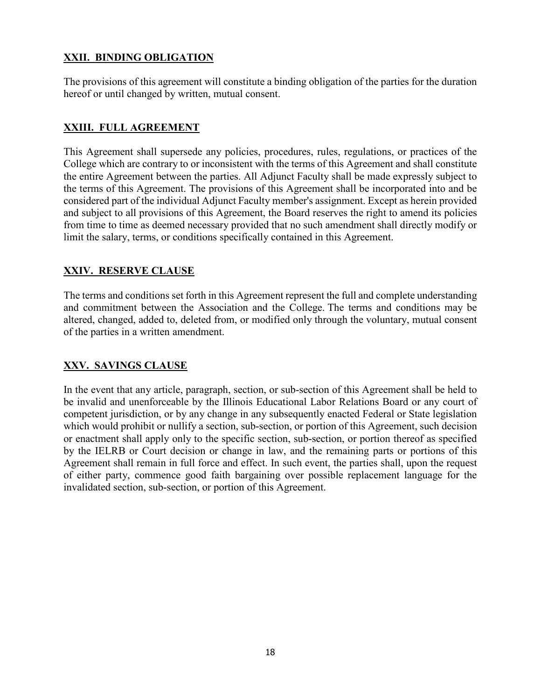# <span id="page-17-0"></span>**XXII. BINDING OBLIGATION**

The provisions of this agreement will constitute a binding obligation of the parties for the duration hereof or until changed by written, mutual consent.

# <span id="page-17-1"></span>**XXIII. FULL AGREEMENT**

This Agreement shall supersede any policies, procedures, rules, regulations, or practices of the College which are contrary to or inconsistent with the terms of this Agreement and shall constitute the entire Agreement between the parties. All Adjunct Faculty shall be made expressly subject to the terms of this Agreement. The provisions of this Agreement shall be incorporated into and be considered part of the individual Adjunct Faculty member's assignment. Except as herein provided and subject to all provisions of this Agreement, the Board reserves the right to amend its policies from time to time as deemed necessary provided that no such amendment shall directly modify or limit the salary, terms, or conditions specifically contained in this Agreement.

# <span id="page-17-2"></span>**XXIV. RESERVE CLAUSE**

The terms and conditions set forth in this Agreement represent the full and complete understanding and commitment between the Association and the College. The terms and conditions may be altered, changed, added to, deleted from, or modified only through the voluntary, mutual consent of the parties in a written amendment.

# <span id="page-17-3"></span>**XXV. SAVINGS CLAUSE**

In the event that any article, paragraph, section, or sub-section of this Agreement shall be held to be invalid and unenforceable by the Illinois Educational Labor Relations Board or any court of competent jurisdiction, or by any change in any subsequently enacted Federal or State legislation which would prohibit or nullify a section, sub-section, or portion of this Agreement, such decision or enactment shall apply only to the specific section, sub-section, or portion thereof as specified by the IELRB or Court decision or change in law, and the remaining parts or portions of this Agreement shall remain in full force and effect. In such event, the parties shall, upon the request of either party, commence good faith bargaining over possible replacement language for the invalidated section, sub-section, or portion of this Agreement.